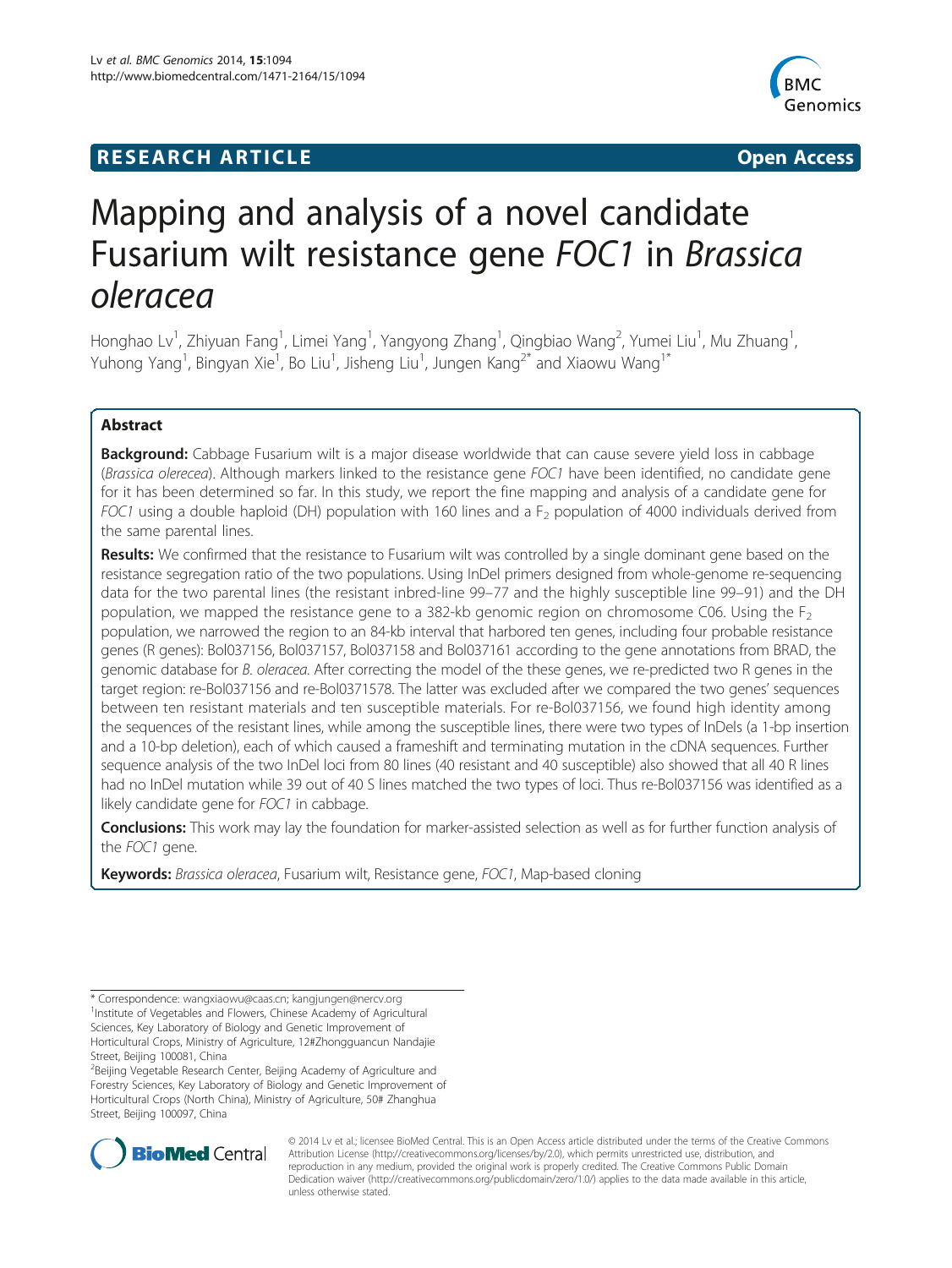# **RESEARCH ARTICLE Example 2014 The SEAR CH ACCESS**



# Mapping and analysis of a novel candidate Fusarium wilt resistance gene FOC1 in Brassica<br>oleracea

Honghao Lv<sup>1</sup>, Zhiyuan Fang<sup>1</sup>, Limei Yang<sup>1</sup>, Yangyong Zhang<sup>1</sup>, Qingbiao Wang<sup>2</sup>, Yumei Liu<sup>1</sup>, Mu Zhuang<sup>1</sup> , Yuhong Yang<sup>1</sup>, Bingyan Xie<sup>1</sup>, Bo Liu<sup>1</sup>, Jisheng Liu<sup>1</sup>, Jungen Kang<sup>2\*</sup> and Xiaowu Wang<sup>1\*</sup>

# Abstract

Background: Cabbage Fusarium wilt is a major disease worldwide that can cause severe yield loss in cabbage (Brassica olerecea). Although markers linked to the resistance gene FOC1 have been identified, no candidate gene for it has been determined so far. In this study, we report the fine mapping and analysis of a candidate gene for FOC1 using a double haploid (DH) population with 160 lines and a  $F_2$  population of 4000 individuals derived from the same parental lines.

Results: We confirmed that the resistance to Fusarium wilt was controlled by a single dominant gene based on the resistance segregation ratio of the two populations. Using InDel primers designed from whole-genome re-sequencing data for the two parental lines (the resistant inbred-line 99–77 and the highly susceptible line 99–91) and the DH population, we mapped the resistance gene to a 382-kb genomic region on chromosome C06. Using the  $F_2$ population, we narrowed the region to an 84-kb interval that harbored ten genes, including four probable resistance genes (R genes): Bol037156, Bol037157, Bol037158 and Bol037161 according to the gene annotations from BRAD, the genomic database for B. oleracea. After correcting the model of the these genes, we re-predicted two R genes in the target region: re-Bol037156 and re-Bol0371578. The latter was excluded after we compared the two genes' sequences between ten resistant materials and ten susceptible materials. For re-Bol037156, we found high identity among the sequences of the resistant lines, while among the susceptible lines, there were two types of InDels (a 1-bp insertion and a 10-bp deletion), each of which caused a frameshift and terminating mutation in the cDNA sequences. Further sequence analysis of the two InDel loci from 80 lines (40 resistant and 40 susceptible) also showed that all 40 R lines had no InDel mutation while 39 out of 40 S lines matched the two types of loci. Thus re-Bol037156 was identified as a likely candidate gene for FOC1 in cabbage.

Conclusions: This work may lay the foundation for marker-assisted selection as well as for further function analysis of the FOC1 gene.

Keywords: Brassica oleracea, Fusarium wilt, Resistance gene, FOC1, Map-based cloning

<sup>&</sup>lt;sup>2</sup>Beijing Vegetable Research Center, Beijing Academy of Agriculture and Forestry Sciences, Key Laboratory of Biology and Genetic Improvement of Horticultural Crops (North China), Ministry of Agriculture, 50# Zhanghua Street, Beijing 100097, China



© 2014 Lv et al.; licensee BioMed Central. This is an Open Access article distributed under the terms of the Creative Commons Attribution License (<http://creativecommons.org/licenses/by/2.0>), which permits unrestricted use, distribution, and reproduction in any medium, provided the original work is properly credited. The Creative Commons Public Domain Dedication waiver [\(http://creativecommons.org/publicdomain/zero/1.0/](http://creativecommons.org/publicdomain/zero/1.0/)) applies to the data made available in this article, unless otherwise stated.

<sup>\*</sup> Correspondence: [wangxiaowu@caas.cn](mailto:wangxiaowu@caas.cn); [kangjungen@nercv.org](mailto:kangjungen@nercv.org) <sup>1</sup> <sup>1</sup>Institute of Vegetables and Flowers, Chinese Academy of Agricultural Sciences, Key Laboratory of Biology and Genetic Improvement of Horticultural Crops, Ministry of Agriculture, 12#Zhongguancun Nandajie Street, Beijing 100081, China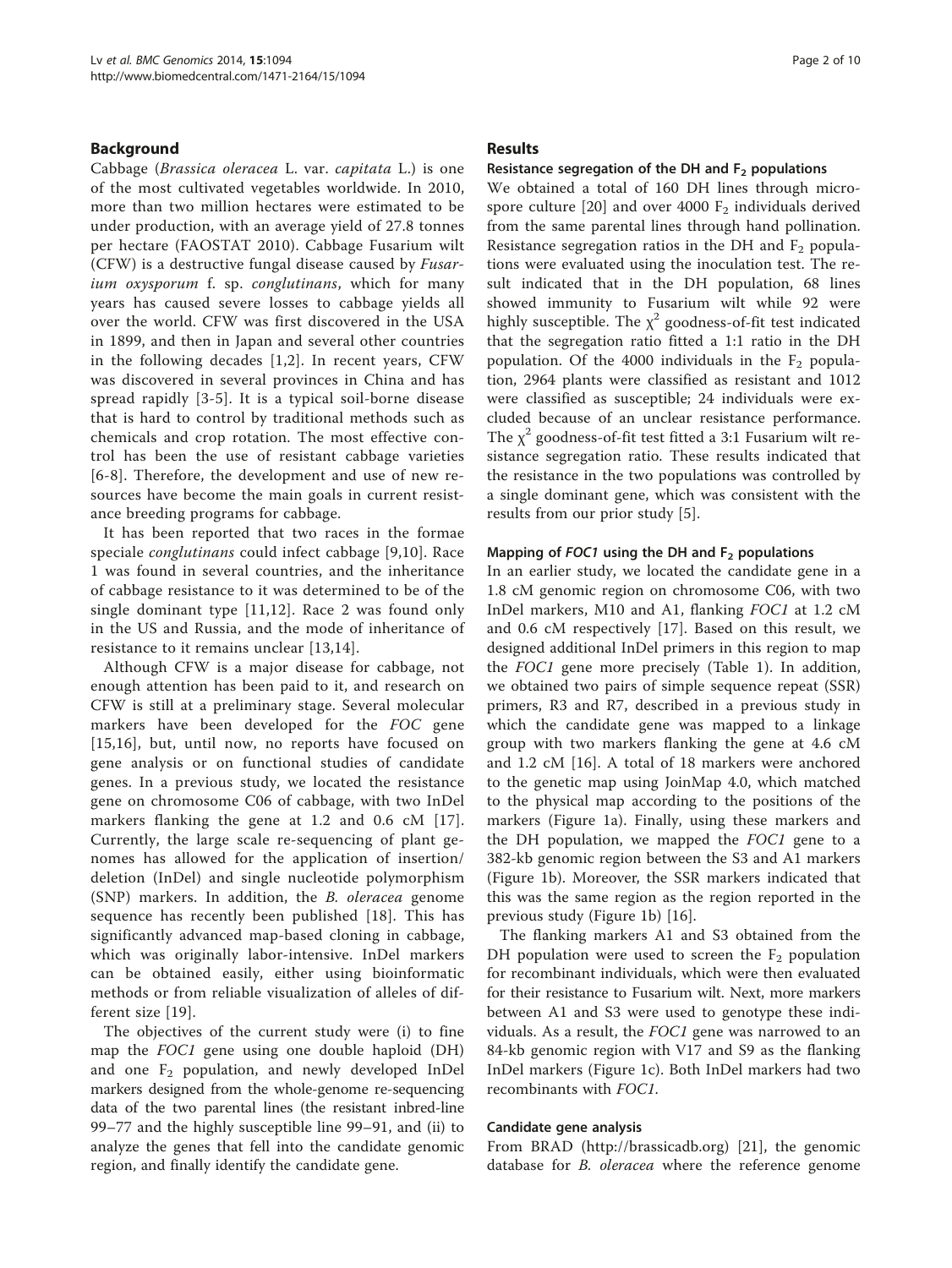# Background

Cabbage (Brassica oleracea L. var. capitata L.) is one of the most cultivated vegetables worldwide. In 2010, more than two million hectares were estimated to be under production, with an average yield of 27.8 tonnes per hectare (FAOSTAT 2010). Cabbage Fusarium wilt (CFW) is a destructive fungal disease caused by Fusarium oxysporum f. sp. conglutinans, which for many years has caused severe losses to cabbage yields all over the world. CFW was first discovered in the USA in 1899, and then in Japan and several other countries in the following decades [\[1,2\]](#page-8-0). In recent years, CFW was discovered in several provinces in China and has spread rapidly [[3-5\]](#page-8-0). It is a typical soil-borne disease that is hard to control by traditional methods such as chemicals and crop rotation. The most effective control has been the use of resistant cabbage varieties [[6](#page-8-0)-[8](#page-8-0)]. Therefore, the development and use of new resources have become the main goals in current resistance breeding programs for cabbage.

It has been reported that two races in the formae speciale conglutinans could infect cabbage [[9](#page-8-0),[10\]](#page-8-0). Race 1 was found in several countries, and the inheritance of cabbage resistance to it was determined to be of the single dominant type [[11,12](#page-8-0)]. Race 2 was found only in the US and Russia, and the mode of inheritance of resistance to it remains unclear [[13,14](#page-8-0)].

Although CFW is a major disease for cabbage, not enough attention has been paid to it, and research on CFW is still at a preliminary stage. Several molecular markers have been developed for the FOC gene [[15](#page-8-0),[16\]](#page-8-0), but, until now, no reports have focused on gene analysis or on functional studies of candidate genes. In a previous study, we located the resistance gene on chromosome C06 of cabbage, with two InDel markers flanking the gene at 1.2 and 0.6 cM [[17](#page-8-0)]. Currently, the large scale re-sequencing of plant genomes has allowed for the application of insertion/ deletion (InDel) and single nucleotide polymorphism (SNP) markers. In addition, the B. oleracea genome sequence has recently been published [\[18](#page-8-0)]. This has significantly advanced map-based cloning in cabbage, which was originally labor-intensive. InDel markers can be obtained easily, either using bioinformatic methods or from reliable visualization of alleles of different size [[19](#page-8-0)].

The objectives of the current study were (i) to fine map the FOC1 gene using one double haploid (DH) and one  $F_2$  population, and newly developed InDel markers designed from the whole-genome re-sequencing data of the two parental lines (the resistant inbred-line 99–77 and the highly susceptible line 99–91, and (ii) to analyze the genes that fell into the candidate genomic region, and finally identify the candidate gene.

# Results

## Resistance segregation of the DH and  $F_2$  populations

We obtained a total of 160 DH lines through micro-spore culture [[20\]](#page-8-0) and over 4000  $F_2$  individuals derived from the same parental lines through hand pollination. Resistance segregation ratios in the DH and  $F_2$  populations were evaluated using the inoculation test. The result indicated that in the DH population, 68 lines showed immunity to Fusarium wilt while 92 were highly susceptible. The  $\chi^2$  goodness-of-fit test indicated that the segregation ratio fitted a 1:1 ratio in the DH population. Of the 4000 individuals in the  $F_2$  population, 2964 plants were classified as resistant and 1012 were classified as susceptible; 24 individuals were excluded because of an unclear resistance performance. The  $\chi^2$  goodness-of-fit test fitted a 3:1 Fusarium wilt resistance segregation ratio. These results indicated that the resistance in the two populations was controlled by a single dominant gene, which was consistent with the results from our prior study [[5\]](#page-8-0).

#### Mapping of FOC1 using the DH and  $F_2$  populations

In an earlier study, we located the candidate gene in a 1.8 cM genomic region on chromosome C06, with two InDel markers, M10 and A1, flanking FOC1 at 1.2 cM and 0.6 cM respectively [[17\]](#page-8-0). Based on this result, we designed additional InDel primers in this region to map the FOC1 gene more precisely (Table [1](#page-2-0)). In addition, we obtained two pairs of simple sequence repeat (SSR) primers, R3 and R7, described in a previous study in which the candidate gene was mapped to a linkage group with two markers flanking the gene at 4.6 cM and 1.2 cM [[16\]](#page-8-0). A total of 18 markers were anchored to the genetic map using JoinMap 4.0, which matched to the physical map according to the positions of the markers (Figure [1](#page-3-0)a). Finally, using these markers and the DH population, we mapped the FOC1 gene to a 382-kb genomic region between the S3 and A1 markers (Figure [1](#page-3-0)b). Moreover, the SSR markers indicated that this was the same region as the region reported in the previous study (Figure [1b](#page-3-0)) [\[16](#page-8-0)].

The flanking markers A1 and S3 obtained from the DH population were used to screen the  $F_2$  population for recombinant individuals, which were then evaluated for their resistance to Fusarium wilt. Next, more markers between A1 and S3 were used to genotype these individuals. As a result, the FOC1 gene was narrowed to an 84-kb genomic region with V17 and S9 as the flanking InDel markers (Figure [1c](#page-3-0)). Both InDel markers had two recombinants with FOC1.

#### Candidate gene analysis

From BRAD (<http://brassicadb.org>) [[21\]](#page-9-0), the genomic database for *B. oleracea* where the reference genome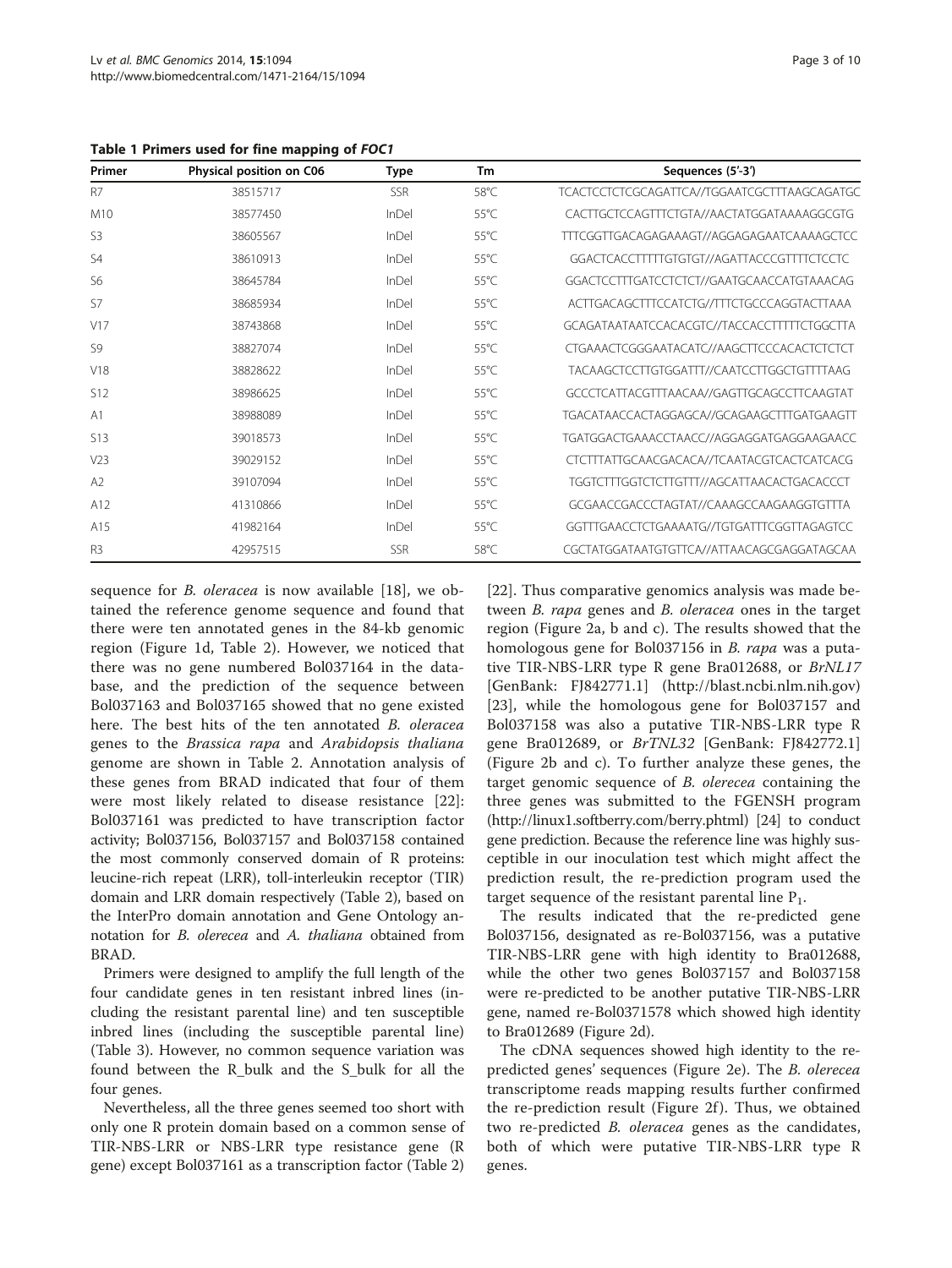<span id="page-2-0"></span>Table 1 Primers used for fine mapping of FOC1

| Primer          | Physical position on C06 | <b>Type</b> | Tm             | Sequences (5'-3')                            |
|-----------------|--------------------------|-------------|----------------|----------------------------------------------|
| R7              | 38515717                 | <b>SSR</b>  | 58°C           | TCACTCCTCTCGCAGATTCA//TGGAATCGCTTTAAGCAGATGC |
| M10             | 38577450                 | InDel       | $55^{\circ}$ C | CACTTGCTCCAGTTTCTGTA//AACTATGGATAAAAGGCGTG   |
| S3              | 38605567                 | InDel       | $55^{\circ}$ C | TTTCGGTTGACAGAGAAAGT//AGGAGAGAATCAAAAGCTCC   |
| S4              | 38610913                 | InDel       | $55^{\circ}$ C | GGACTCACCTTTTGTGTGT//AGATTACCCGTTTTCTCCTC    |
| S6              | 38645784                 | InDel       | $55^{\circ}$ C | GGACTCCTTTGATCCTCTCT//GAATGCAACCATGTAAACAG   |
| S7              | 38685934                 | InDel       | $55^{\circ}$ C | ACTIGACAGCITTCCATCTG//TTTCTGCCCAGGTACTTAAA   |
| V17             | 38743868                 | InDel       | $55^{\circ}$ C | GCAGATAATAATCCACACGTC//TACCACCTTTTTCTGGCTTA  |
| S9              | 38827074                 | InDel       | $55^{\circ}$ C | CTGAAACTCGGGAATACATC//AAGCTTCCCACACTCTCTCT   |
| V18             | 38828622                 | InDel       | $55^{\circ}$ C | TACAAGCTCCTTGTGGATTT//CAATCCTTGGCTGTTTTAAG   |
| S12             | 38986625                 | InDel       | $55^{\circ}$ C | GCCCTCATTACGTTTAACAA//GAGTTGCAGCCTTCAAGTAT   |
| A1              | 38988089                 | InDel       | $55^{\circ}$ C | TGACATAACCACTAGGAGCA//GCAGAAGCTTTGATGAAGTT   |
| S13             | 39018573                 | InDel       | $55^{\circ}$ C | TGATGGACTGAAACCTAACC//AGGAGGATGAGGAAGAACC    |
| V <sub>23</sub> | 39029152                 | InDel       | $55^{\circ}$ C | CTCTTTATTGCAACGACACA//TCAATACGTCACTCATCACG   |
| A2              | 39107094                 | InDel       | $55^{\circ}$ C | TGGTCTTTGGTCTCTTGTTT//AGCATTAACACTGACACCCT   |
| A12             | 41310866                 | InDel       | $55^{\circ}$ C | GCGAACCGACCCTAGTAT//CAAAGCCAAGAAGGTGTTTA     |
| A15             | 41982164                 | InDel       | $55^{\circ}$ C | GGTTTGAACCTCTGAAAATG//TGTGATTTCGGTTAGAGTCC   |
| R3              | 42957515                 | <b>SSR</b>  | $58^{\circ}$ C | CGCTATGGATAATGTGTTCA//ATTAACAGCGAGGATAGCAA   |

sequence for *B. oleracea* is now available [\[18](#page-8-0)], we obtained the reference genome sequence and found that there were ten annotated genes in the 84-kb genomic region (Figure [1d](#page-3-0), Table [2\)](#page-4-0). However, we noticed that there was no gene numbered Bol037164 in the database, and the prediction of the sequence between Bol037163 and Bol037165 showed that no gene existed here. The best hits of the ten annotated B. oleracea genes to the Brassica rapa and Arabidopsis thaliana genome are shown in Table [2](#page-4-0). Annotation analysis of these genes from BRAD indicated that four of them were most likely related to disease resistance [[22](#page-9-0)]: Bol037161 was predicted to have transcription factor activity; Bol037156, Bol037157 and Bol037158 contained the most commonly conserved domain of R proteins: leucine-rich repeat (LRR), toll-interleukin receptor (TIR) domain and LRR domain respectively (Table [2\)](#page-4-0), based on the InterPro domain annotation and Gene Ontology annotation for B. olerecea and A. thaliana obtained from BRAD.

Primers were designed to amplify the full length of the four candidate genes in ten resistant inbred lines (including the resistant parental line) and ten susceptible inbred lines (including the susceptible parental line) (Table [3\)](#page-4-0). However, no common sequence variation was found between the R\_bulk and the S\_bulk for all the four genes.

Nevertheless, all the three genes seemed too short with only one R protein domain based on a common sense of TIR-NBS-LRR or NBS-LRR type resistance gene (R gene) except Bol037161 as a transcription factor (Table [2](#page-4-0)) [[22\]](#page-9-0). Thus comparative genomics analysis was made between B. rapa genes and B. oleracea ones in the target region (Figure [2a](#page-5-0), b and c). The results showed that the homologous gene for Bol037156 in B. rapa was a putative TIR-NBS-LRR type R gene Bra012688, or BrNL17 [GenBank: FJ842771.1] (<http://blast.ncbi.nlm.nih.gov>) [[23\]](#page-9-0), while the homologous gene for Bol037157 and Bol037158 was also a putative TIR-NBS-LRR type R gene Bra012689, or BrTNL32 [GenBank: FJ842772.1] (Figure [2](#page-5-0)b and c). To further analyze these genes, the target genomic sequence of B. olerecea containing the three genes was submitted to the FGENSH program ([http://linux1.softberry.com/berry.phtml\)](http://linux1.softberry.com/berry.phtml) [\[24\]](#page-9-0) to conduct gene prediction. Because the reference line was highly susceptible in our inoculation test which might affect the prediction result, the re-prediction program used the target sequence of the resistant parental line  $P_1$ .

The results indicated that the re-predicted gene Bol037156, designated as re-Bol037156, was a putative TIR-NBS-LRR gene with high identity to Bra012688, while the other two genes Bol037157 and Bol037158 were re-predicted to be another putative TIR-NBS-LRR gene, named re-Bol0371578 which showed high identity to Bra012689 (Figure [2](#page-5-0)d).

The cDNA sequences showed high identity to the repredicted genes' sequences (Figure [2e](#page-5-0)). The B. olerecea transcriptome reads mapping results further confirmed the re-prediction result (Figure [2](#page-5-0)f). Thus, we obtained two re-predicted B. oleracea genes as the candidates, both of which were putative TIR-NBS-LRR type R genes.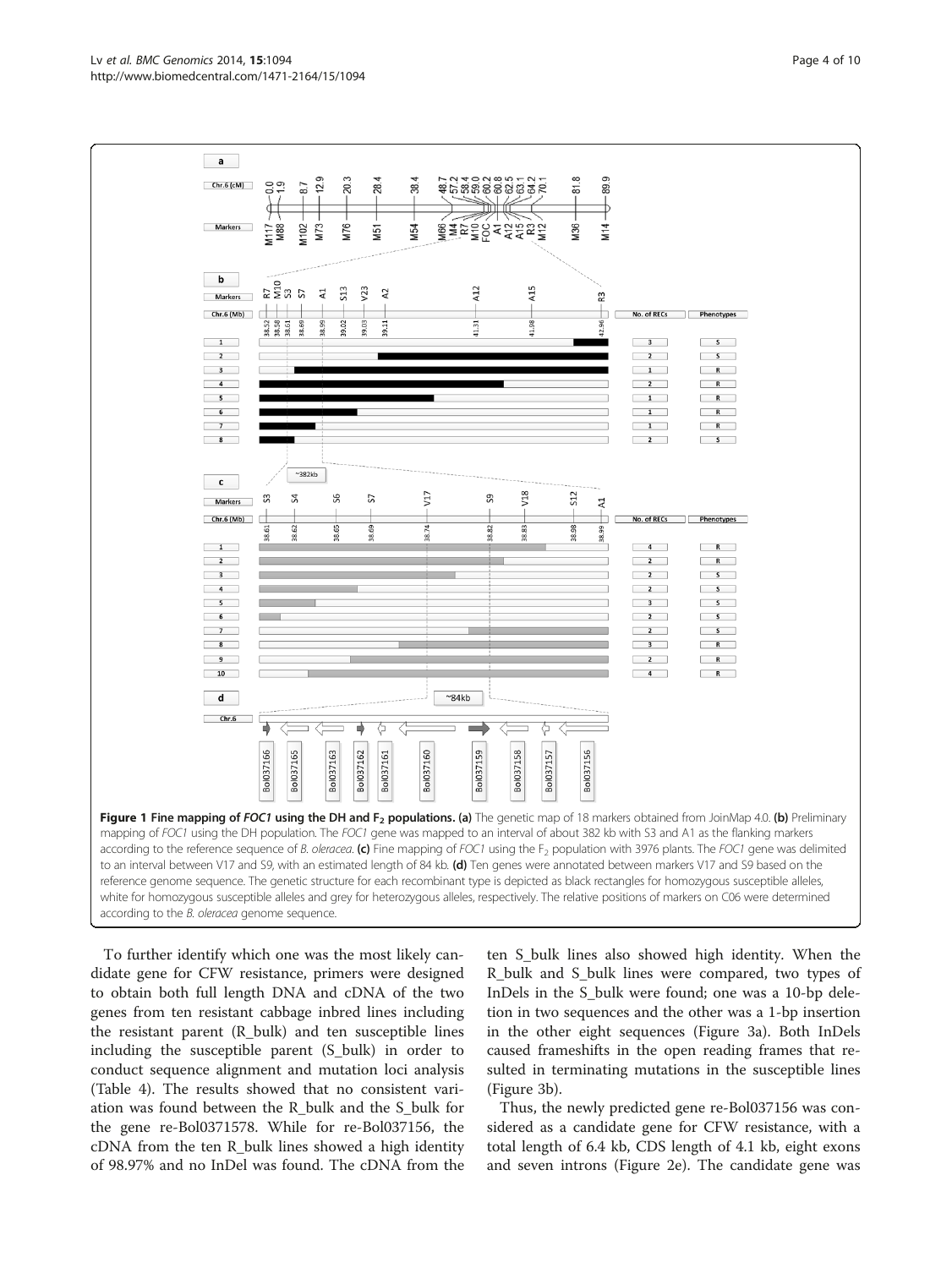# <span id="page-3-0"></span>Lv *et al. BMC Genomics 2*014, **15**:1094<br>http://www.biomedcentral.com/1471-2164/15/1094



To further identify which one was the most likely candidate gene for CFW resistance, primers were designed to obtain both full length DNA and cDNA of the two genes from ten resistant cabbage inbred lines including the resistant parent (R\_bulk) and ten susceptible lines including the susceptible parent (S\_bulk) in order to conduct sequence alignment and mutation loci analysis (Table [4\)](#page-5-0). The results showed that no consistent variation was found between the R\_bulk and the S\_bulk for the gene re-Bol0371578. While for re-Bol037156, the cDNA from the ten R\_bulk lines showed a high identity of 98.97% and no InDel was found. The cDNA from the ten S\_bulk lines also showed high identity. When the R\_bulk and S\_bulk lines were compared, two types of InDels in the S\_bulk were found; one was a 10-bp deletion in two sequences and the other was a 1-bp insertion in the other eight sequences (Figure [3a](#page-6-0)). Both InDels caused frameshifts in the open reading frames that resulted in terminating mutations in the susceptible lines (Figure [3b](#page-6-0)).

Thus, the newly predicted gene re-Bol037156 was considered as a candidate gene for CFW resistance, with a total length of 6.4 kb, CDS length of 4.1 kb, eight exons and seven introns (Figure [2](#page-5-0)e). The candidate gene was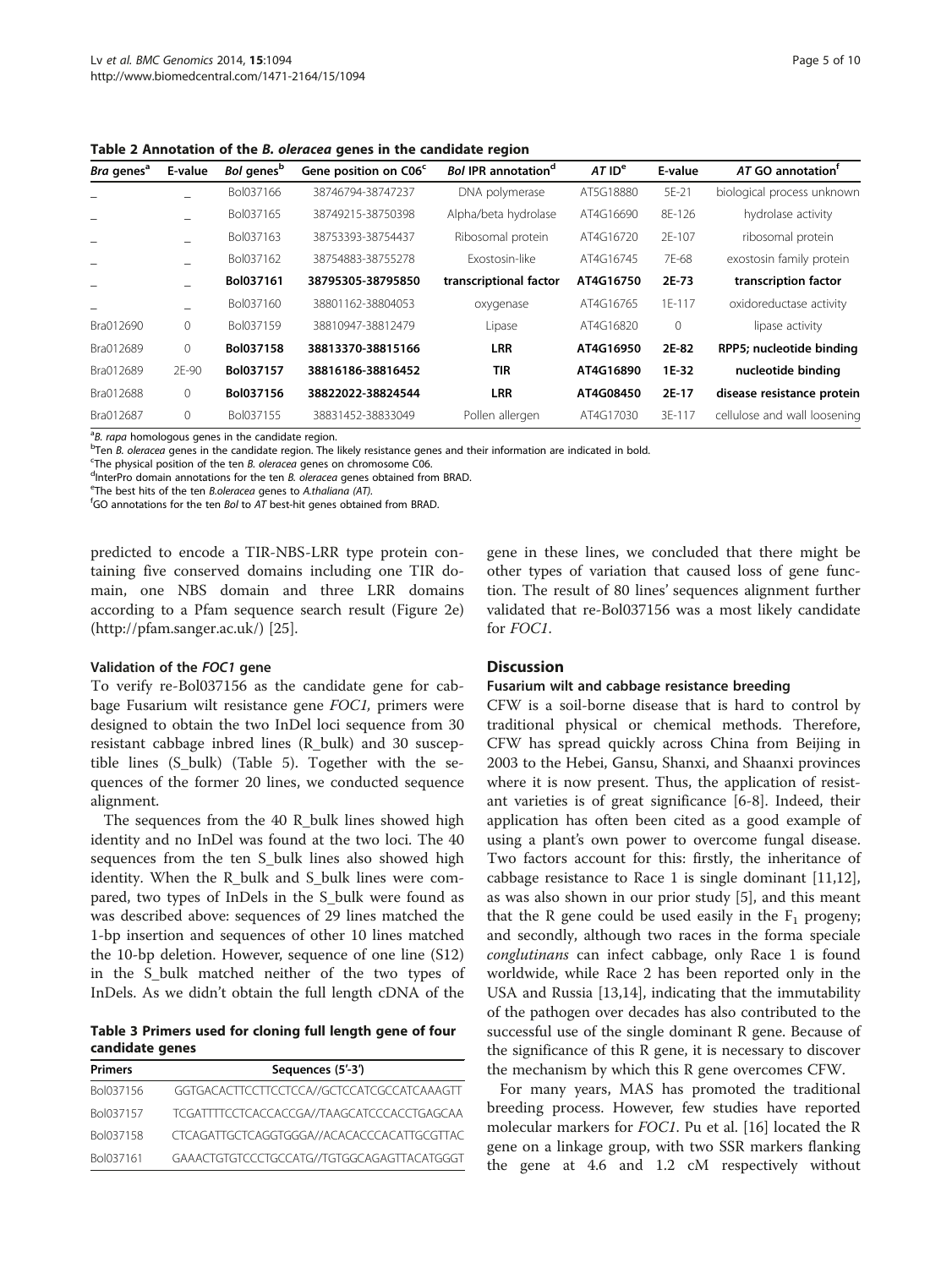<span id="page-4-0"></span>Table 2 Annotation of the B. oleracea genes in the candidate region

| Bra genes <sup>a</sup> | E-value      | <b>Bol</b> genes <sup>b</sup> | Gene position on C06 <sup>c</sup> | <b>Bol IPR annotationd</b> | $AT$ ID <sup>e</sup> | E-value  | AT GO annotation <sup>t</sup> |
|------------------------|--------------|-------------------------------|-----------------------------------|----------------------------|----------------------|----------|-------------------------------|
|                        |              | Bol037166                     | 38746794-38747237                 | DNA polymerase             | AT5G18880            | 5E-21    | biological process unknown    |
|                        |              | Bol037165                     | 38749215-38750398                 | Alpha/beta hydrolase       | AT4G16690            | 8E-126   | hydrolase activity            |
|                        |              | Bol037163                     | 38753393-38754437                 | Ribosomal protein          | AT4G16720            | 2E-107   | ribosomal protein             |
|                        |              | Bol037162                     | 38754883-38755278                 | Exostosin-like             | AT4G16745            | 7E-68    | exostosin family protein      |
|                        |              | Bol037161                     | 38795305-38795850                 | transcriptional factor     | AT4G16750            | 2E-73    | transcription factor          |
|                        |              | Bol037160                     | 38801162-38804053                 | oxygenase                  | AT4G16765            | $1E-117$ | oxidoreductase activity       |
| Bra012690              | $\mathbf{0}$ | Bol037159                     | 38810947-38812479                 | Lipase                     | AT4G16820            | $\Omega$ | lipase activity               |
| Bra012689              | $\circ$      | Bol037158                     | 38813370-38815166                 | LRR                        | AT4G16950            | 2E-82    | RPP5; nucleotide binding      |
| Bra012689              | 2E-90        | Bol037157                     | 38816186-38816452                 | TIR                        | AT4G16890            | 1E-32    | nucleotide binding            |
| Bra012688              | 0            | Bol037156                     | 38822022-38824544                 | <b>LRR</b>                 | AT4G08450            | 2E-17    | disease resistance protein    |
| Bra012687              | $\Omega$     | Bol037155                     | 38831452-38833049                 | Pollen allergen            | AT4G17030            | 3E-117   | cellulose and wall loosening  |

<sup>a</sup>B. rapa homologous genes in the candidate region.<br><sup>b</sup>Ten *B. oleraceg genes in the candidate region*. The

 $<sup>b</sup>$ Ten *B. oleracea* genes in the candidate region. The likely resistance genes and their information are indicated in bold.</sup>

 $C$ The physical position of the ten *B. oleracea* genes on chromosome C06.

 $d$ InterPro domain annotations for the ten B. oleracea genes obtained from BRAD.

 $\mathrm{e}\mathrm{T}$ he best hits of the ten *B.oleracea* genes to A.th*aliana (AT)* 

 $G$  annotations for the ten Bol to AT best-hit genes obtained from BRAD.

predicted to encode a TIR-NBS-LRR type protein containing five conserved domains including one TIR domain, one NBS domain and three LRR domains according to a Pfam sequence search result (Figure [2e](#page-5-0)) (<http://pfam.sanger.ac.uk/>) [\[25](#page-9-0)].

#### Validation of the FOC1 gene

To verify re-Bol037156 as the candidate gene for cabbage Fusarium wilt resistance gene FOC1, primers were designed to obtain the two InDel loci sequence from 30 resistant cabbage inbred lines (R\_bulk) and 30 susceptible lines (S\_bulk) (Table [5](#page-6-0)). Together with the sequences of the former 20 lines, we conducted sequence alignment.

The sequences from the 40 R bulk lines showed high identity and no InDel was found at the two loci. The 40 sequences from the ten S\_bulk lines also showed high identity. When the R\_bulk and S\_bulk lines were compared, two types of InDels in the S\_bulk were found as was described above: sequences of 29 lines matched the 1-bp insertion and sequences of other 10 lines matched the 10-bp deletion. However, sequence of one line (S12) in the S\_bulk matched neither of the two types of InDels. As we didn't obtain the full length cDNA of the

Table 3 Primers used for cloning full length gene of four candidate genes

| <b>Primers</b> | Sequences (5'-3')                          |
|----------------|--------------------------------------------|
| Bol037156      | GGTGACACTTCCTTCCTCCA//GCTCCATCGCCATCAAAGTT |
| Bol037157      | TCGATTTTCCTCACCACCGA//TAAGCATCCCACCTGAGCAA |
| Bol037158      | CTCAGATTGCTCAGGTGGGA//ACACACCCACATTGCGTTAC |
| Bol037161      | GAAACTGTGTCCCTGCCATG//TGTGGCAGAGTTACATGGGT |

gene in these lines, we concluded that there might be other types of variation that caused loss of gene function. The result of 80 lines' sequences alignment further validated that re-Bol037156 was a most likely candidate for FOC1.

## **Discussion**

#### Fusarium wilt and cabbage resistance breeding

CFW is a soil-borne disease that is hard to control by traditional physical or chemical methods. Therefore, CFW has spread quickly across China from Beijing in 2003 to the Hebei, Gansu, Shanxi, and Shaanxi provinces where it is now present. Thus, the application of resistant varieties is of great significance [\[6](#page-8-0)-[8\]](#page-8-0). Indeed, their application has often been cited as a good example of using a plant's own power to overcome fungal disease. Two factors account for this: firstly, the inheritance of cabbage resistance to Race 1 is single dominant [\[11,12](#page-8-0)], as was also shown in our prior study [\[5](#page-8-0)], and this meant that the R gene could be used easily in the  $F_1$  progeny; and secondly, although two races in the forma speciale conglutinans can infect cabbage, only Race 1 is found worldwide, while Race 2 has been reported only in the USA and Russia [\[13,14](#page-8-0)], indicating that the immutability of the pathogen over decades has also contributed to the successful use of the single dominant R gene. Because of the significance of this R gene, it is necessary to discover the mechanism by which this R gene overcomes CFW.

For many years, MAS has promoted the traditional breeding process. However, few studies have reported molecular markers for FOC1. Pu et al. [\[16](#page-8-0)] located the R gene on a linkage group, with two SSR markers flanking the gene at 4.6 and 1.2 cM respectively without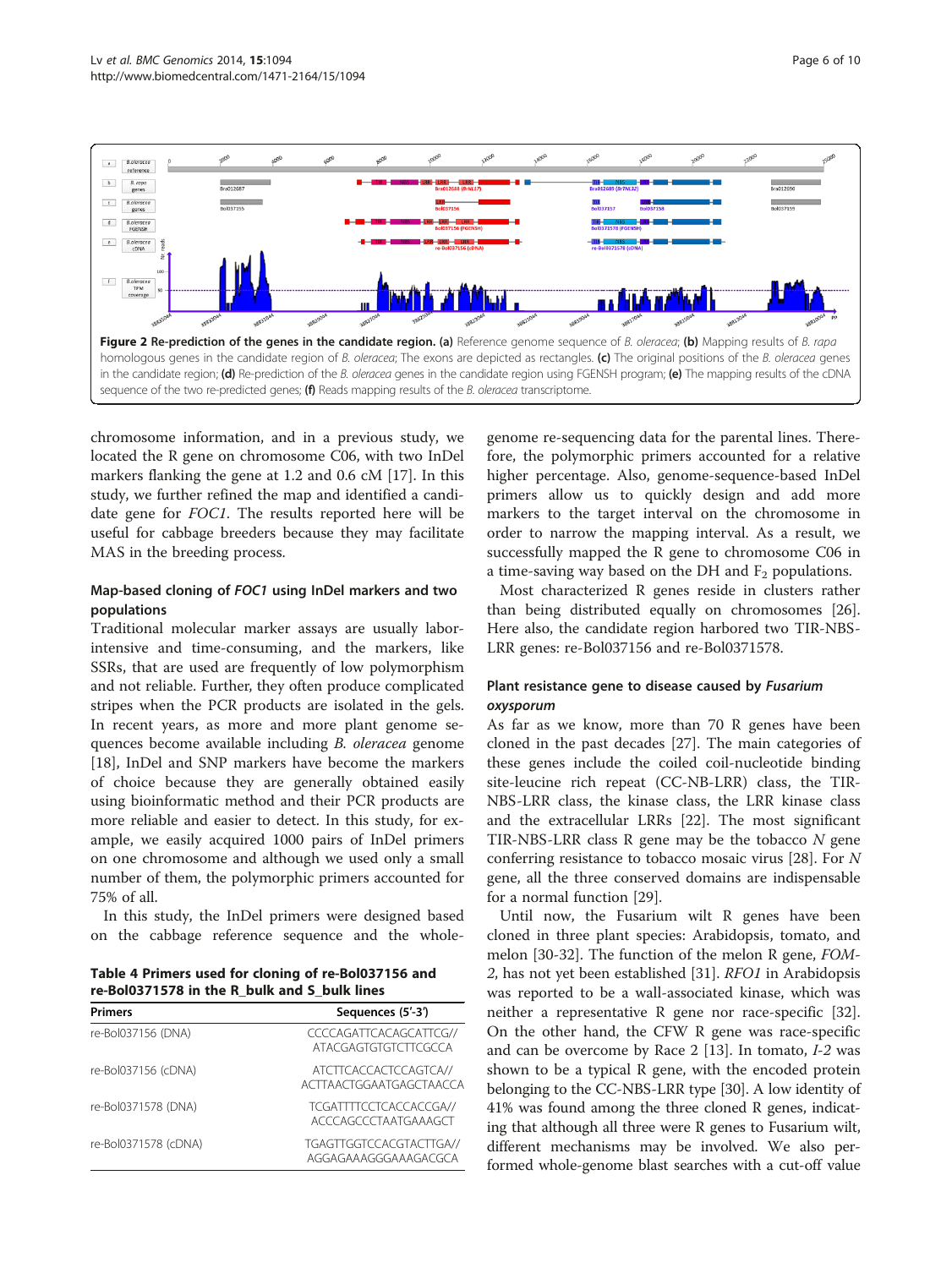<span id="page-5-0"></span>

chromosome information, and in a previous study, we located the R gene on chromosome C06, with two InDel markers flanking the gene at 1.2 and 0.6 cM [[17](#page-8-0)]. In this study, we further refined the map and identified a candidate gene for FOC1. The results reported here will be useful for cabbage breeders because they may facilitate MAS in the breeding process.

# Map-based cloning of FOC1 using InDel markers and two populations

Traditional molecular marker assays are usually laborintensive and time-consuming, and the markers, like SSRs, that are used are frequently of low polymorphism and not reliable. Further, they often produce complicated stripes when the PCR products are isolated in the gels. In recent years, as more and more plant genome sequences become available including B. oleracea genome [[18\]](#page-8-0), InDel and SNP markers have become the markers of choice because they are generally obtained easily using bioinformatic method and their PCR products are more reliable and easier to detect. In this study, for example, we easily acquired 1000 pairs of InDel primers on one chromosome and although we used only a small number of them, the polymorphic primers accounted for 75% of all.

In this study, the InDel primers were designed based on the cabbage reference sequence and the whole-

Table 4 Primers used for cloning of re-Bol037156 and re-Bol0371578 in the R\_bulk and S\_bulk lines

| <b>Primers</b>       | Sequences (5'-3')                                     |
|----------------------|-------------------------------------------------------|
| re-Bol037156 (DNA)   | CCCCAGATTCACAGCATTCG//<br><b>ATACGAGTGTGTCTTCGCCA</b> |
| re-Bol037156 (cDNA)  | ATCTTCACCACTCCAGTCA//<br>ACTTAACTGGAATGAGCTAACCA      |
| re-Bol0371578 (DNA)  | TCGATTTTCCTCACCACCGA//<br>ACCCAGCCCTAATGAAAGCT        |
| re-Bol0371578 (cDNA) | TGAGTTGGTCCACGTACTTGA//<br>AGGAGAAAGGGAAAGACGCA       |

genome re-sequencing data for the parental lines. Therefore, the polymorphic primers accounted for a relative higher percentage. Also, genome-sequence-based InDel primers allow us to quickly design and add more markers to the target interval on the chromosome in order to narrow the mapping interval. As a result, we successfully mapped the R gene to chromosome C06 in a time-saving way based on the DH and  $F_2$  populations.

Most characterized R genes reside in clusters rather than being distributed equally on chromosomes [\[26](#page-9-0)]. Here also, the candidate region harbored two TIR-NBS-LRR genes: re-Bol037156 and re-Bol0371578.

# Plant resistance gene to disease caused by Fusarium oxysporum

As far as we know, more than 70 R genes have been cloned in the past decades [\[27\]](#page-9-0). The main categories of these genes include the coiled coil-nucleotide binding site-leucine rich repeat (CC-NB-LRR) class, the TIR-NBS-LRR class, the kinase class, the LRR kinase class and the extracellular LRRs [\[22\]](#page-9-0). The most significant TIR-NBS-LRR class R gene may be the tobacco N gene conferring resistance to tobacco mosaic virus [\[28](#page-9-0)]. For N gene, all the three conserved domains are indispensable for a normal function [\[29](#page-9-0)].

Until now, the Fusarium wilt R genes have been cloned in three plant species: Arabidopsis, tomato, and melon [[30](#page-9-0)-[32\]](#page-9-0). The function of the melon R gene, FOM-2, has not yet been established [\[31](#page-9-0)]. RFO1 in Arabidopsis was reported to be a wall-associated kinase, which was neither a representative R gene nor race-specific [\[32](#page-9-0)]. On the other hand, the CFW R gene was race-specific and can be overcome by Race 2 [[13](#page-8-0)]. In tomato, I-2 was shown to be a typical R gene, with the encoded protein belonging to the CC-NBS-LRR type [[30](#page-9-0)]. A low identity of 41% was found among the three cloned R genes, indicating that although all three were R genes to Fusarium wilt, different mechanisms may be involved. We also performed whole-genome blast searches with a cut-off value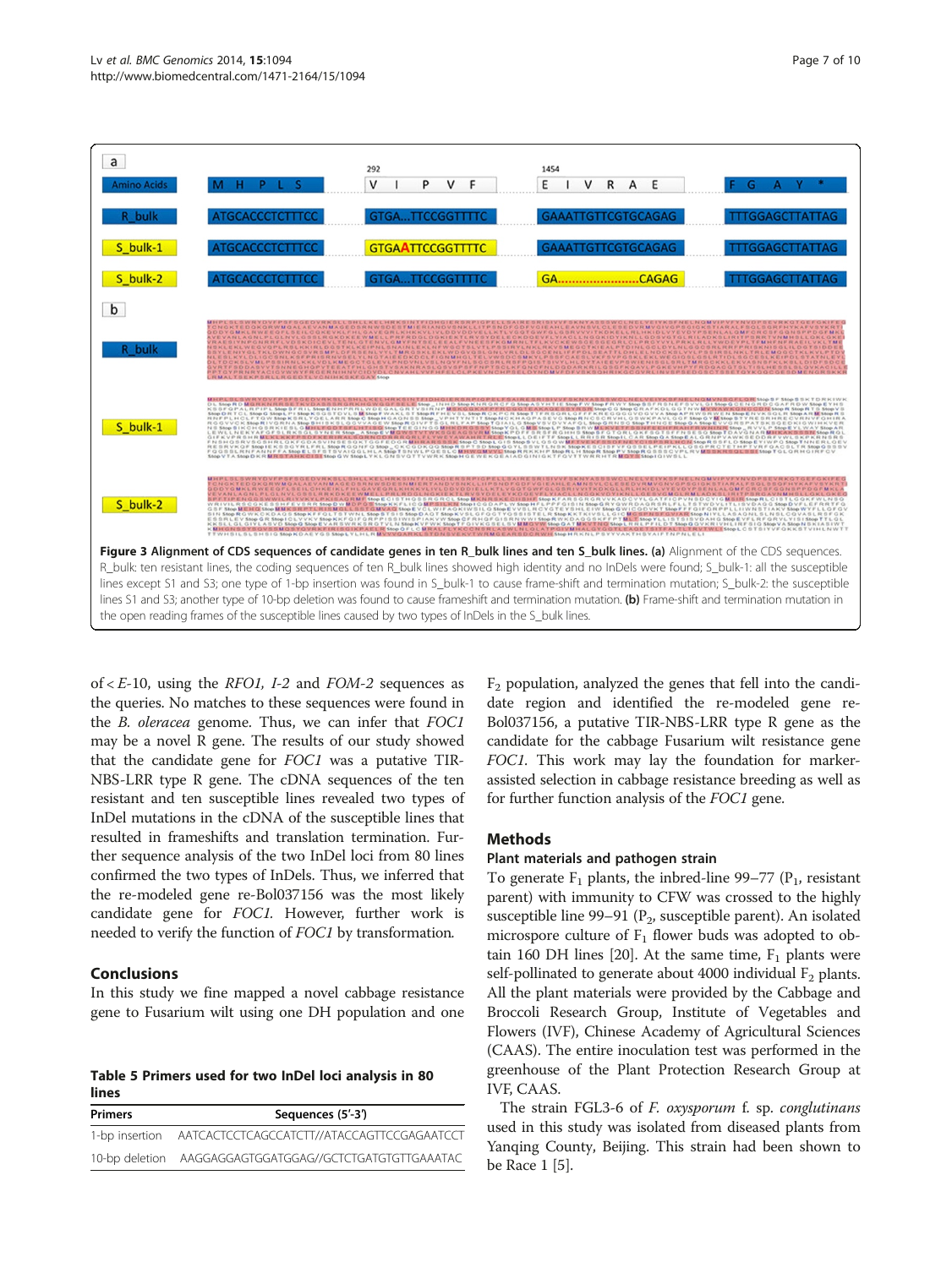<span id="page-6-0"></span>

of  $\le$  E-10, using the RFO1, I-2 and FOM-2 sequences as the queries. No matches to these sequences were found in the B. oleracea genome. Thus, we can infer that FOC1 may be a novel R gene. The results of our study showed that the candidate gene for FOC1 was a putative TIR-NBS-LRR type R gene. The cDNA sequences of the ten resistant and ten susceptible lines revealed two types of InDel mutations in the cDNA of the susceptible lines that resulted in frameshifts and translation termination. Further sequence analysis of the two InDel loci from 80 lines confirmed the two types of InDels. Thus, we inferred that the re-modeled gene re-Bol037156 was the most likely candidate gene for FOC1. However, further work is needed to verify the function of FOC1 by transformation.

# Conclusions

In this study we fine mapped a novel cabbage resistance gene to Fusarium wilt using one DH population and one

Table 5 Primers used for two InDel loci analysis in 80 lines

| <b>Primers</b> | Sequences (5'-3')                                            |
|----------------|--------------------------------------------------------------|
|                | 1-bp insertion    AATCACTCCTCAGCCATCTT//ATACCAGTTCCGAGAATCCT |
|                | 10-bp deletion AAGGAGGAGTGGATGGAG//GCTCTGATGTGTTGAAATAC      |

 $F<sub>2</sub>$  population, analyzed the genes that fell into the candidate region and identified the re-modeled gene re-Bol037156, a putative TIR-NBS-LRR type R gene as the candidate for the cabbage Fusarium wilt resistance gene FOC1. This work may lay the foundation for markerassisted selection in cabbage resistance breeding as well as for further function analysis of the FOC1 gene.

# Methods

# Plant materials and pathogen strain

To generate  $F_1$  plants, the inbred-line 99–77 ( $P_1$ , resistant parent) with immunity to CFW was crossed to the highly susceptible line 99-91 ( $P_2$ , susceptible parent). An isolated microspore culture of  $F_1$  flower buds was adopted to ob-tain 160 DH lines [\[20](#page-8-0)]. At the same time,  $F_1$  plants were self-pollinated to generate about 4000 individual  $F_2$  plants. All the plant materials were provided by the Cabbage and Broccoli Research Group, Institute of Vegetables and Flowers (IVF), Chinese Academy of Agricultural Sciences (CAAS). The entire inoculation test was performed in the greenhouse of the Plant Protection Research Group at IVF, CAAS.

The strain FGL3-6 of F. oxysporum f. sp. conglutinans used in this study was isolated from diseased plants from Yanqing County, Beijing. This strain had been shown to be Race 1 [[5\]](#page-8-0).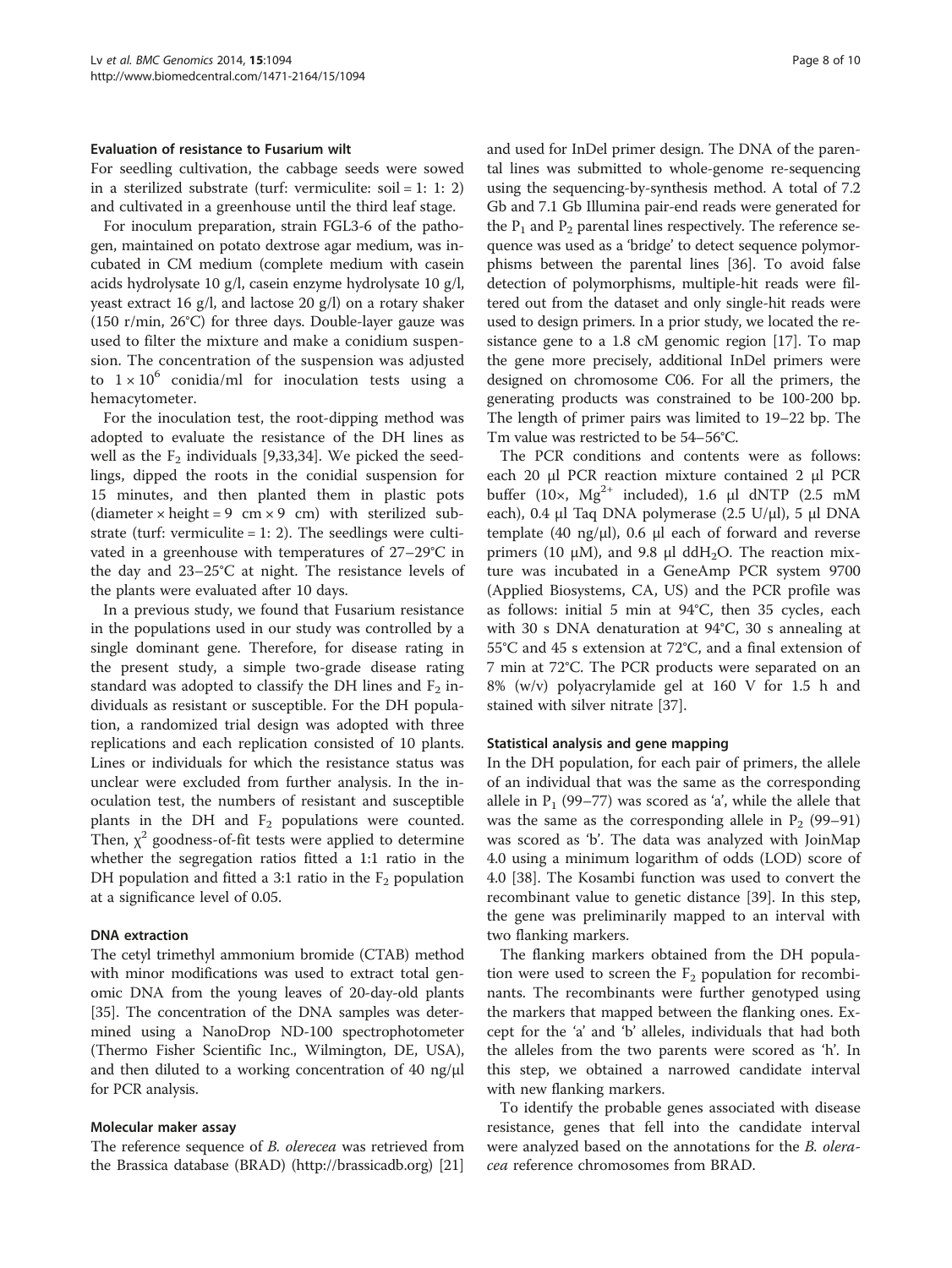#### Evaluation of resistance to Fusarium wilt

For seedling cultivation, the cabbage seeds were sowed in a sterilized substrate (turf: vermiculite: soil = 1: 1: 2) and cultivated in a greenhouse until the third leaf stage.

For inoculum preparation, strain FGL3-6 of the pathogen, maintained on potato dextrose agar medium, was incubated in CM medium (complete medium with casein acids hydrolysate 10 g/l, casein enzyme hydrolysate 10 g/l, yeast extract 16 g/l, and lactose 20 g/l) on a rotary shaker (150 r/min, 26°C) for three days. Double-layer gauze was used to filter the mixture and make a conidium suspension. The concentration of the suspension was adjusted to  $1 \times 10^6$  conidia/ml for inoculation tests using a hemacytometer.

For the inoculation test, the root-dipping method was adopted to evaluate the resistance of the DH lines as well as the  $F_2$  individuals [\[9](#page-8-0)[,33,34](#page-9-0)]. We picked the seedlings, dipped the roots in the conidial suspension for 15 minutes, and then planted them in plastic pots (diameter  $\times$  height = 9 cm  $\times$  9 cm) with sterilized substrate (turf: vermiculite  $= 1: 2$ ). The seedlings were cultivated in a greenhouse with temperatures of 27–29°C in the day and 23–25°C at night. The resistance levels of the plants were evaluated after 10 days.

In a previous study, we found that Fusarium resistance in the populations used in our study was controlled by a single dominant gene. Therefore, for disease rating in the present study, a simple two-grade disease rating standard was adopted to classify the DH lines and  $F_2$  individuals as resistant or susceptible. For the DH population, a randomized trial design was adopted with three replications and each replication consisted of 10 plants. Lines or individuals for which the resistance status was unclear were excluded from further analysis. In the inoculation test, the numbers of resistant and susceptible plants in the DH and  $F_2$  populations were counted. Then,  $\chi^2$  goodness-of-fit tests were applied to determine whether the segregation ratios fitted a 1:1 ratio in the DH population and fitted a 3:1 ratio in the  $F_2$  population at a significance level of 0.05.

#### DNA extraction

The cetyl trimethyl ammonium bromide (CTAB) method with minor modifications was used to extract total genomic DNA from the young leaves of 20-day-old plants [[35](#page-9-0)]. The concentration of the DNA samples was determined using a NanoDrop ND-100 spectrophotometer (Thermo Fisher Scientific Inc., Wilmington, DE, USA), and then diluted to a working concentration of 40 ng/ $\mu$ l for PCR analysis.

#### Molecular maker assay

The reference sequence of B. olerecea was retrieved from the Brassica database (BRAD) [\(http://brassicadb.org\)](http://brassicadb.org) [[21](#page-9-0)]

and used for InDel primer design. The DNA of the parental lines was submitted to whole-genome re-sequencing using the sequencing-by-synthesis method. A total of 7.2 Gb and 7.1 Gb Illumina pair-end reads were generated for the  $P_1$  and  $P_2$  parental lines respectively. The reference sequence was used as a 'bridge' to detect sequence polymorphisms between the parental lines [\[36\]](#page-9-0). To avoid false detection of polymorphisms, multiple-hit reads were filtered out from the dataset and only single-hit reads were used to design primers. In a prior study, we located the resistance gene to a 1.8 cM genomic region [[17](#page-8-0)]. To map the gene more precisely, additional InDel primers were designed on chromosome C06. For all the primers, the generating products was constrained to be 100-200 bp. The length of primer pairs was limited to 19–22 bp. The Tm value was restricted to be 54–56°C.

The PCR conditions and contents were as follows: each 20 μl PCR reaction mixture contained 2 μl PCR buffer (10 $\times$ , Mg<sup>2+</sup> included), 1.6 μl dNTP (2.5 mM each), 0.4 μl Taq DNA polymerase (2.5 U/μl), 5 μl DNA template (40 ng/ $\mu$ l), 0.6  $\mu$ l each of forward and reverse primers (10 μM), and 9.8 μl ddH<sub>2</sub>O. The reaction mixture was incubated in a GeneAmp PCR system 9700 (Applied Biosystems, CA, US) and the PCR profile was as follows: initial 5 min at 94°C, then 35 cycles, each with 30 s DNA denaturation at 94°C, 30 s annealing at 55°C and 45 s extension at 72°C, and a final extension of 7 min at 72°C. The PCR products were separated on an 8% (w/v) polyacrylamide gel at 160 V for 1.5 h and stained with silver nitrate [[37\]](#page-9-0).

## Statistical analysis and gene mapping

In the DH population, for each pair of primers, the allele of an individual that was the same as the corresponding allele in  $P_1$  (99–77) was scored as 'a', while the allele that was the same as the corresponding allele in  $P<sub>2</sub>$  (99–91) was scored as 'b'. The data was analyzed with JoinMap 4.0 using a minimum logarithm of odds (LOD) score of 4.0 [\[38](#page-9-0)]. The Kosambi function was used to convert the recombinant value to genetic distance [\[39\]](#page-9-0). In this step, the gene was preliminarily mapped to an interval with two flanking markers.

The flanking markers obtained from the DH population were used to screen the  $F_2$  population for recombinants. The recombinants were further genotyped using the markers that mapped between the flanking ones. Except for the 'a' and 'b' alleles, individuals that had both the alleles from the two parents were scored as 'h'. In this step, we obtained a narrowed candidate interval with new flanking markers.

To identify the probable genes associated with disease resistance, genes that fell into the candidate interval were analyzed based on the annotations for the *B. olera*cea reference chromosomes from BRAD.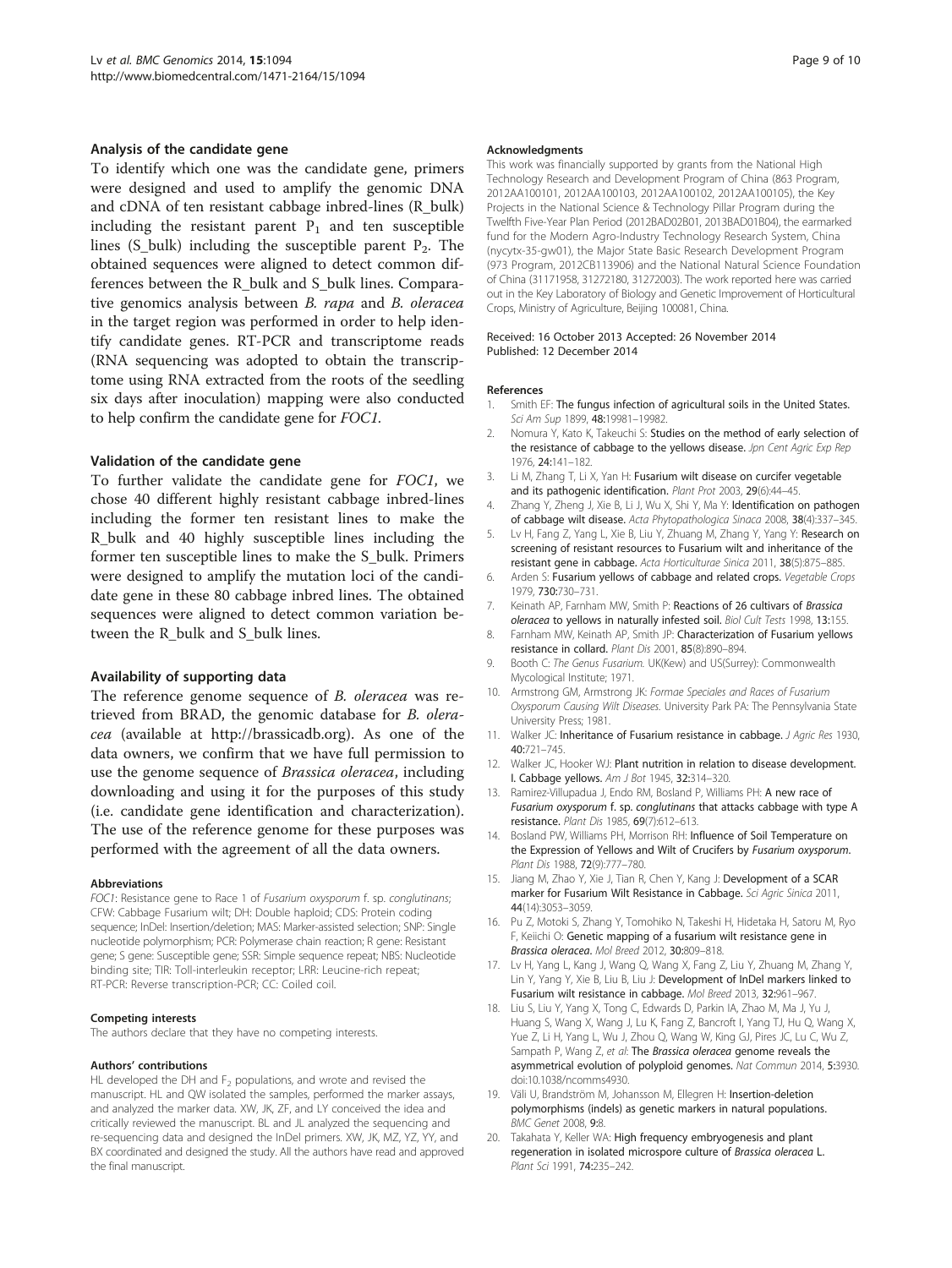#### <span id="page-8-0"></span>Analysis of the candidate gene

To identify which one was the candidate gene, primers were designed and used to amplify the genomic DNA and cDNA of ten resistant cabbage inbred-lines (R\_bulk) including the resistant parent  $P_1$  and ten susceptible lines (S\_bulk) including the susceptible parent  $P_2$ . The obtained sequences were aligned to detect common differences between the R\_bulk and S\_bulk lines. Comparative genomics analysis between B. rapa and B. oleracea in the target region was performed in order to help identify candidate genes. RT-PCR and transcriptome reads (RNA sequencing was adopted to obtain the transcriptome using RNA extracted from the roots of the seedling six days after inoculation) mapping were also conducted to help confirm the candidate gene for FOC1.

#### Validation of the candidate gene

To further validate the candidate gene for FOC1, we chose 40 different highly resistant cabbage inbred-lines including the former ten resistant lines to make the R\_bulk and 40 highly susceptible lines including the former ten susceptible lines to make the S\_bulk. Primers were designed to amplify the mutation loci of the candidate gene in these 80 cabbage inbred lines. The obtained sequences were aligned to detect common variation between the R\_bulk and S\_bulk lines.

#### Availability of supporting data

The reference genome sequence of B. oleracea was retrieved from BRAD, the genomic database for B. oleracea (available at [http://brassicadb.org\)](http://brassicadb.org). As one of the data owners, we confirm that we have full permission to use the genome sequence of Brassica oleracea, including downloading and using it for the purposes of this study (i.e. candidate gene identification and characterization). The use of the reference genome for these purposes was performed with the agreement of all the data owners.

#### Abbreviations

FOC1: Resistance gene to Race 1 of Fusarium oxysporum f. sp. conglutinans; CFW: Cabbage Fusarium wilt; DH: Double haploid; CDS: Protein coding sequence; InDel: Insertion/deletion; MAS: Marker-assisted selection; SNP: Single nucleotide polymorphism; PCR: Polymerase chain reaction; R gene: Resistant gene; S gene: Susceptible gene; SSR: Simple sequence repeat; NBS: Nucleotide binding site; TIR: Toll-interleukin receptor; LRR: Leucine-rich repeat; RT-PCR: Reverse transcription-PCR; CC: Coiled coil.

#### Competing interests

The authors declare that they have no competing interests.

#### Authors' contributions

HL developed the DH and  $F_2$  populations, and wrote and revised the manuscript. HL and QW isolated the samples, performed the marker assays, and analyzed the marker data. XW, JK, ZF, and LY conceived the idea and critically reviewed the manuscript. BL and JL analyzed the sequencing and re-sequencing data and designed the InDel primers. XW, JK, MZ, YZ, YY, and BX coordinated and designed the study. All the authors have read and approved the final manuscript.

#### Acknowledgments

This work was financially supported by grants from the National High Technology Research and Development Program of China (863 Program, 2012AA100101, 2012AA100103, 2012AA100102, 2012AA100105), the Key Projects in the National Science & Technology Pillar Program during the Twelfth Five-Year Plan Period (2012BAD02B01, 2013BAD01B04), the earmarked fund for the Modern Agro-Industry Technology Research System, China (nycytx-35-gw01), the Major State Basic Research Development Program (973 Program, 2012CB113906) and the National Natural Science Foundation of China (31171958, 31272180, 31272003). The work reported here was carried out in the Key Laboratory of Biology and Genetic Improvement of Horticultural Crops, Ministry of Agriculture, Beijing 100081, China.

#### Received: 16 October 2013 Accepted: 26 November 2014 Published: 12 December 2014

#### References

- Smith EF: The fungus infection of agricultural soils in the United States. Sci Am Sup 1899, 48:19981–19982.
- 2. Nomura Y, Kato K, Takeuchi S: Studies on the method of early selection of the resistance of cabbage to the yellows disease. Jpn Cent Agric Exp Rep 1976, 24:141–182.
- 3. Li M, Zhang T, Li X, Yan H: Fusarium wilt disease on curcifer vegetable and its pathogenic identification. Plant Prot 2003, 29(6):44–45.
- 4. Zhang Y, Zheng J, Xie B, Li J, Wu X, Shi Y, Ma Y: Identification on pathogen of cabbage wilt disease. Acta Phytopathologica Sinaca 2008, 38(4):337–345.
- 5. Lv H, Fang Z, Yang L, Xie B, Liu Y, Zhuang M, Zhang Y, Yang Y: Research on screening of resistant resources to Fusarium wilt and inheritance of the resistant gene in cabbage. Acta Horticulturae Sinica 2011, 38(5):875–885.
- 6. Arden S: Fusarium yellows of cabbage and related crops. Vegetable Crops 1979, 730:730–731.
- 7. Keinath AP, Farnham MW, Smith P: Reactions of 26 cultivars of Brassica oleracea to yellows in naturally infested soil. Biol Cult Tests 1998, 13:155.
- 8. Farnham MW, Keinath AP, Smith JP: Characterization of Fusarium yellows resistance in collard. Plant Dis 2001, 85(8):890–894.
- 9. Booth C: The Genus Fusarium. UK(Kew) and US(Surrey): Commonwealth Mycological Institute; 1971.
- 10. Armstrong GM, Armstrong JK: Formae Speciales and Races of Fusarium Oxysporum Causing Wilt Diseases. University Park PA: The Pennsylvania State University Press; 1981.
- 11. Walker JC: Inheritance of Fusarium resistance in cabbage. J Agric Res 1930, 40:721–745.
- 12. Walker JC, Hooker WJ: Plant nutrition in relation to disease development. I. Cabbage yellows. Am J Bot 1945, 32:314–320.
- 13. Ramirez-Villupadua J, Endo RM, Bosland P, Williams PH: A new race of Fusarium oxysporum f. sp. conglutinans that attacks cabbage with type A resistance. Plant Dis 1985, 69(7):612–613.
- 14. Bosland PW, Williams PH, Morrison RH: Influence of Soil Temperature on the Expression of Yellows and Wilt of Crucifers by Fusarium oxysporum. Plant Dis 1988, 72(9):777–780.
- 15. Jiang M, Zhao Y, Xie J, Tian R, Chen Y, Kang J: Development of a SCAR marker for Fusarium Wilt Resistance in Cabbage. Sci Agric Sinica 2011, 44(14):3053–3059.
- 16. Pu Z, Motoki S, Zhang Y, Tomohiko N, Takeshi H, Hidetaka H, Satoru M, Ryo F, Keiichi O: Genetic mapping of a fusarium wilt resistance gene in Brassica oleracea. Mol Breed 2012, 30:809–818.
- 17. Lv H, Yang L, Kang J, Wang Q, Wang X, Fang Z, Liu Y, Zhuang M, Zhang Y, Lin Y, Yang Y, Xie B, Liu B, Liu J: Development of InDel markers linked to Fusarium wilt resistance in cabbage. Mol Breed 2013, 32:961–967.
- 18. Liu S, Liu Y, Yang X, Tong C, Edwards D, Parkin IA, Zhao M, Ma J, Yu J, Huang S, Wang X, Wang J, Lu K, Fang Z, Bancroft I, Yang TJ, Hu Q, Wang X, Yue Z, Li H, Yang L, Wu J, Zhou Q, Wang W, King GJ, Pires JC, Lu C, Wu Z, Sampath P, Wang Z, et al: The Brassica oleracea genome reveals the asymmetrical evolution of polyploid genomes. Nat Commun 2014, 5:3930. doi:10.1038/ncomms4930.
- 19. Väli U, Brandström M, Johansson M, Ellegren H: Insertion-deletion polymorphisms (indels) as genetic markers in natural populations. BMC Genet 2008, 9:8.
- 20. Takahata Y, Keller WA: High frequency embryogenesis and plant regeneration in isolated microspore culture of Brassica oleracea L. Plant Sci 1991, 74:235–242.